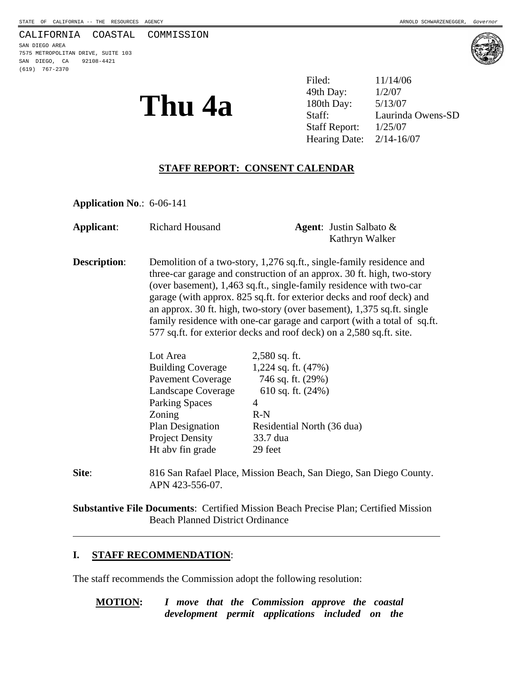#### CALIFORNIA COASTAL COMMISSION

SAN DIEGO AREA 7575 METROPOLITAN DRIVE, SUITE 103 SAN DIEGO, CA 92108-4421 (619) 767-2370



**Thu 4a**  $\frac{^{49th \text{ Day:}}}{^{180th \text{ Day:}}}\frac{^{1/2/07}}{5/13/07}$ Filed: 11/14/06 49th Day: Laurinda Owens-SD Staff Report: 1/25/07 Hearing Date: 2/14-16/07

# **STAFF REPORT: CONSENT CALENDAR**

**Application No**.: 6-06-141

| Applicant:          | <b>Richard Housand</b>                                                                                                                                                                                                                                                                                                                                                                                                                                                                                                       | <b>Agent:</b> Justin Salbato $\&$<br>Kathryn Walker                                                                                             |
|---------------------|------------------------------------------------------------------------------------------------------------------------------------------------------------------------------------------------------------------------------------------------------------------------------------------------------------------------------------------------------------------------------------------------------------------------------------------------------------------------------------------------------------------------------|-------------------------------------------------------------------------------------------------------------------------------------------------|
| <b>Description:</b> | Demolition of a two-story, 1,276 sq.ft., single-family residence and<br>three-car garage and construction of an approx. 30 ft. high, two-story<br>(over basement), 1,463 sq.ft., single-family residence with two-car<br>garage (with approx. 825 sq.ft. for exterior decks and roof deck) and<br>an approx. 30 ft. high, two-story (over basement), 1,375 sq.ft. single<br>family residence with one-car garage and carport (with a total of sq.ft.<br>577 sq.ft. for exterior decks and roof deck) on a 2,580 sq.ft. site. |                                                                                                                                                 |
|                     | Lot Area<br><b>Building Coverage</b><br>Pavement Coverage 746 sq. ft. (29%)<br>Landscape Coverage<br><b>Parking Spaces</b><br>Zoning<br>Plan Designation<br><b>Project Density</b><br>Ht aby fin grade                                                                                                                                                                                                                                                                                                                       | $2,580$ sq. ft.<br>1,224 sq. ft. $(47%)$<br>610 sq. ft. $(24%)$<br>$\overline{4}$<br>$R-N$<br>Residential North (36 dua)<br>33.7 dua<br>29 feet |
| Site:               | 816 San Rafael Place, Mission Beach, San Diego, San Diego County.<br>APN 423-556-07.                                                                                                                                                                                                                                                                                                                                                                                                                                         |                                                                                                                                                 |

**Substantive File Documents**: Certified Mission Beach Precise Plan; Certified Mission Beach Planned District Ordinance

#### **I. STAFF RECOMMENDATION**:

 $\overline{a}$ 

The staff recommends the Commission adopt the following resolution:

**MOTION:** *I move that the Commission approve the coastal development permit applications included on the*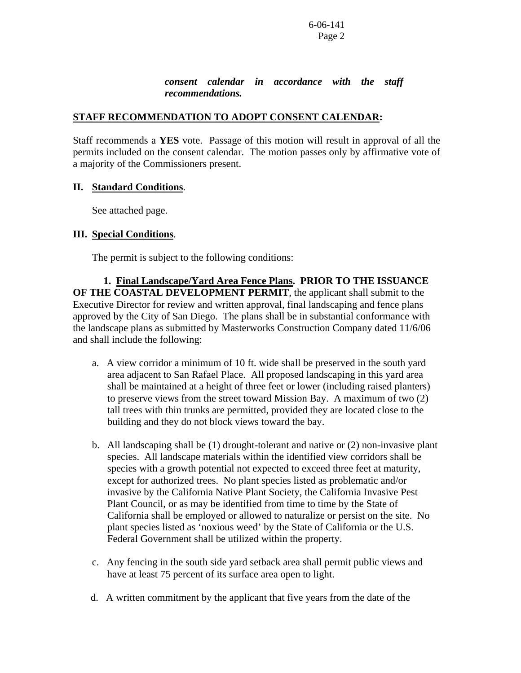#### *consent calendar in accordance with the staff recommendations.*

#### **STAFF RECOMMENDATION TO ADOPT CONSENT CALENDAR:**

Staff recommends a **YES** vote. Passage of this motion will result in approval of all the permits included on the consent calendar. The motion passes only by affirmative vote of a majority of the Commissioners present.

## **II. Standard Conditions**.

See attached page.

## **III. Special Conditions**.

The permit is subject to the following conditions:

 **1. Final Landscape/Yard Area Fence Plans. PRIOR TO THE ISSUANCE OF THE COASTAL DEVELOPMENT PERMIT**, the applicant shall submit to the Executive Director for review and written approval, final landscaping and fence plans approved by the City of San Diego. The plans shall be in substantial conformance with the landscape plans as submitted by Masterworks Construction Company dated 11/6/06 and shall include the following:

- a. A view corridor a minimum of 10 ft. wide shall be preserved in the south yard area adjacent to San Rafael Place. All proposed landscaping in this yard area shall be maintained at a height of three feet or lower (including raised planters) to preserve views from the street toward Mission Bay. A maximum of two (2) tall trees with thin trunks are permitted, provided they are located close to the building and they do not block views toward the bay.
- b. All landscaping shall be (1) drought-tolerant and native or (2) non-invasive plant species. All landscape materials within the identified view corridors shall be species with a growth potential not expected to exceed three feet at maturity, except for authorized trees. No plant species listed as problematic and/or invasive by the California Native Plant Society, the California Invasive Pest Plant Council, or as may be identified from time to time by the State of California shall be employed or allowed to naturalize or persist on the site. No plant species listed as 'noxious weed' by the State of California or the U.S. Federal Government shall be utilized within the property.
- c. Any fencing in the south side yard setback area shall permit public views and have at least 75 percent of its surface area open to light.
- d. A written commitment by the applicant that five years from the date of the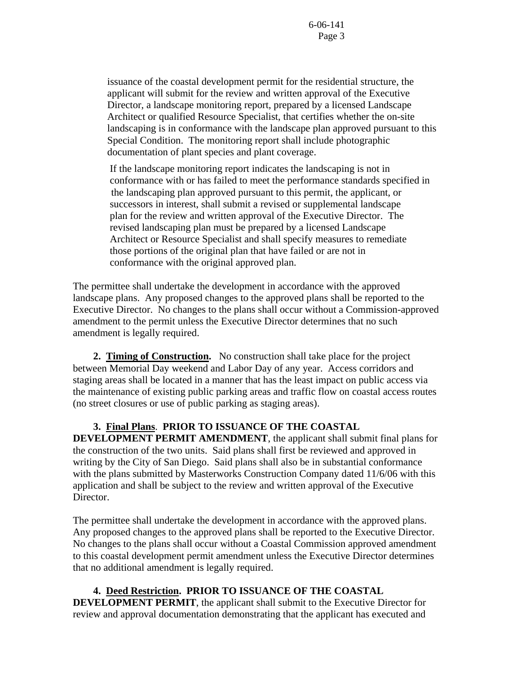issuance of the coastal development permit for the residential structure, the applicant will submit for the review and written approval of the Executive Director, a landscape monitoring report, prepared by a licensed Landscape Architect or qualified Resource Specialist, that certifies whether the on-site landscaping is in conformance with the landscape plan approved pursuant to this Special Condition. The monitoring report shall include photographic documentation of plant species and plant coverage.

 If the landscape monitoring report indicates the landscaping is not in conformance with or has failed to meet the performance standards specified in the landscaping plan approved pursuant to this permit, the applicant, or successors in interest, shall submit a revised or supplemental landscape plan for the review and written approval of the Executive Director. The revised landscaping plan must be prepared by a licensed Landscape Architect or Resource Specialist and shall specify measures to remediate those portions of the original plan that have failed or are not in conformance with the original approved plan.

The permittee shall undertake the development in accordance with the approved landscape plans. Any proposed changes to the approved plans shall be reported to the Executive Director. No changes to the plans shall occur without a Commission-approved amendment to the permit unless the Executive Director determines that no such amendment is legally required.

 **2. Timing of Construction.** No construction shall take place for the project between Memorial Day weekend and Labor Day of any year. Access corridors and staging areas shall be located in a manner that has the least impact on public access via the maintenance of existing public parking areas and traffic flow on coastal access routes (no street closures or use of public parking as staging areas).

# **3. Final Plans**. **PRIOR TO ISSUANCE OF THE COASTAL**

**DEVELOPMENT PERMIT AMENDMENT**, the applicant shall submit final plans for the construction of the two units. Said plans shall first be reviewed and approved in writing by the City of San Diego. Said plans shall also be in substantial conformance with the plans submitted by Masterworks Construction Company dated 11/6/06 with this application and shall be subject to the review and written approval of the Executive Director.

The permittee shall undertake the development in accordance with the approved plans. Any proposed changes to the approved plans shall be reported to the Executive Director. No changes to the plans shall occur without a Coastal Commission approved amendment to this coastal development permit amendment unless the Executive Director determines that no additional amendment is legally required.

 **4. Deed Restriction. PRIOR TO ISSUANCE OF THE COASTAL DEVELOPMENT PERMIT**, the applicant shall submit to the Executive Director for review and approval documentation demonstrating that the applicant has executed and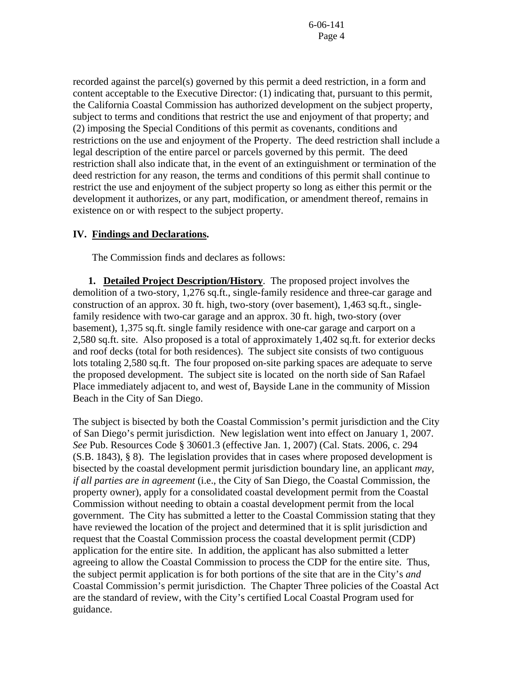recorded against the parcel(s) governed by this permit a deed restriction, in a form and content acceptable to the Executive Director: (1) indicating that, pursuant to this permit, the California Coastal Commission has authorized development on the subject property, subject to terms and conditions that restrict the use and enjoyment of that property; and (2) imposing the Special Conditions of this permit as covenants, conditions and restrictions on the use and enjoyment of the Property. The deed restriction shall include a legal description of the entire parcel or parcels governed by this permit. The deed restriction shall also indicate that, in the event of an extinguishment or termination of the deed restriction for any reason, the terms and conditions of this permit shall continue to restrict the use and enjoyment of the subject property so long as either this permit or the development it authorizes, or any part, modification, or amendment thereof, remains in existence on or with respect to the subject property.

#### **IV. Findings and Declarations.**

The Commission finds and declares as follows:

**1. Detailed Project Description/History**. The proposed project involves the demolition of a two-story, 1,276 sq.ft., single-family residence and three-car garage and construction of an approx. 30 ft. high, two-story (over basement), 1,463 sq.ft., singlefamily residence with two-car garage and an approx. 30 ft. high, two-story (over basement), 1,375 sq.ft. single family residence with one-car garage and carport on a 2,580 sq.ft. site. Also proposed is a total of approximately 1,402 sq.ft. for exterior decks and roof decks (total for both residences). The subject site consists of two contiguous lots totaling 2,580 sq.ft. The four proposed on-site parking spaces are adequate to serve the proposed development. The subject site is located on the north side of San Rafael Place immediately adjacent to, and west of, Bayside Lane in the community of Mission Beach in the City of San Diego.

The subject is bisected by both the Coastal Commission's permit jurisdiction and the City of San Diego's permit jurisdiction. New legislation went into effect on January 1, 2007. *See* Pub. Resources Code § 30601.3 (effective Jan. 1, 2007) (Cal. Stats. 2006, c. 294 (S.B. 1843), § 8). The legislation provides that in cases where proposed development is bisected by the coastal development permit jurisdiction boundary line, an applicant *may, if all parties are in agreement* (i.e., the City of San Diego, the Coastal Commission, the property owner), apply for a consolidated coastal development permit from the Coastal Commission without needing to obtain a coastal development permit from the local government. The City has submitted a letter to the Coastal Commission stating that they have reviewed the location of the project and determined that it is split jurisdiction and request that the Coastal Commission process the coastal development permit (CDP) application for the entire site.In addition, the applicant has also submitted a letter agreeing to allow the Coastal Commission to process the CDP for the entire site. Thus, the subject permit application is for both portions of the site that are in the City's *and*  Coastal Commission's permit jurisdiction. The Chapter Three policies of the Coastal Act are the standard of review, with the City's certified Local Coastal Program used for guidance.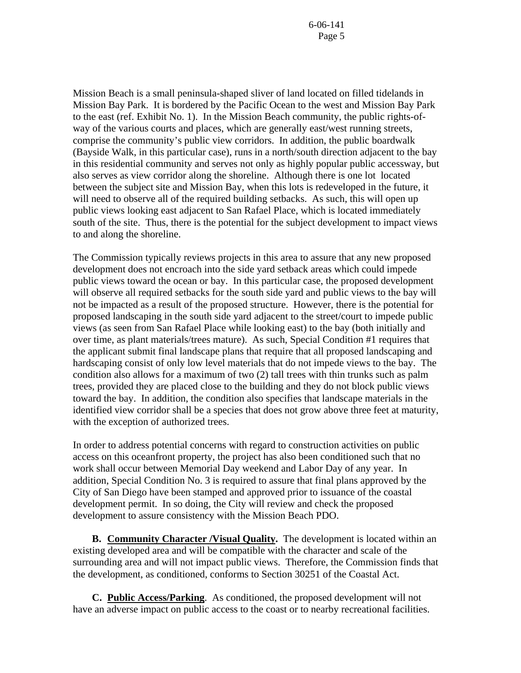Mission Beach is a small peninsula-shaped sliver of land located on filled tidelands in Mission Bay Park. It is bordered by the Pacific Ocean to the west and Mission Bay Park to the east (ref. Exhibit No. 1). In the Mission Beach community, the public rights-ofway of the various courts and places, which are generally east/west running streets, comprise the community's public view corridors. In addition, the public boardwalk (Bayside Walk, in this particular case), runs in a north/south direction adjacent to the bay in this residential community and serves not only as highly popular public accessway, but also serves as view corridor along the shoreline. Although there is one lot located between the subject site and Mission Bay, when this lots is redeveloped in the future, it will need to observe all of the required building setbacks. As such, this will open up public views looking east adjacent to San Rafael Place, which is located immediately south of the site. Thus, there is the potential for the subject development to impact views to and along the shoreline.

The Commission typically reviews projects in this area to assure that any new proposed development does not encroach into the side yard setback areas which could impede public views toward the ocean or bay. In this particular case, the proposed development will observe all required setbacks for the south side yard and public views to the bay will not be impacted as a result of the proposed structure. However, there is the potential for proposed landscaping in the south side yard adjacent to the street/court to impede public views (as seen from San Rafael Place while looking east) to the bay (both initially and over time, as plant materials/trees mature). As such, Special Condition #1 requires that the applicant submit final landscape plans that require that all proposed landscaping and hardscaping consist of only low level materials that do not impede views to the bay. The condition also allows for a maximum of two (2) tall trees with thin trunks such as palm trees, provided they are placed close to the building and they do not block public views toward the bay. In addition, the condition also specifies that landscape materials in the identified view corridor shall be a species that does not grow above three feet at maturity, with the exception of authorized trees.

In order to address potential concerns with regard to construction activities on public access on this oceanfront property, the project has also been conditioned such that no work shall occur between Memorial Day weekend and Labor Day of any year. In addition, Special Condition No. 3 is required to assure that final plans approved by the City of San Diego have been stamped and approved prior to issuance of the coastal development permit. In so doing, the City will review and check the proposed development to assure consistency with the Mission Beach PDO.

**B. Community Character /Visual Quality.** The development is located within an existing developed area and will be compatible with the character and scale of the surrounding area and will not impact public views. Therefore, the Commission finds that the development, as conditioned, conforms to Section 30251 of the Coastal Act.

**C. Public Access/Parking**. As conditioned, the proposed development will not have an adverse impact on public access to the coast or to nearby recreational facilities.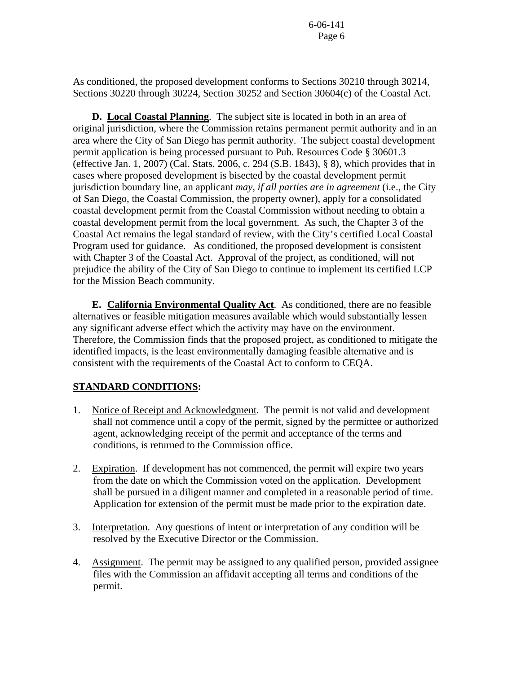As conditioned, the proposed development conforms to Sections 30210 through 30214, Sections 30220 through 30224, Section 30252 and Section 30604(c) of the Coastal Act.

**D. Local Coastal Planning**. The subject site is located in both in an area of original jurisdiction, where the Commission retains permanent permit authority and in an area where the City of San Diego has permit authority. The subject coastal development permit application is being processed pursuant to Pub. Resources Code § 30601.3 (effective Jan. 1, 2007) (Cal. Stats. 2006, c. 294 (S.B. 1843), § 8), which provides that in cases where proposed development is bisected by the coastal development permit jurisdiction boundary line, an applicant *may, if all parties are in agreement* (i.e., the City of San Diego, the Coastal Commission, the property owner), apply for a consolidated coastal development permit from the Coastal Commission without needing to obtain a coastal development permit from the local government. As such, the Chapter 3 of the Coastal Act remains the legal standard of review, with the City's certified Local Coastal Program used for guidance. As conditioned, the proposed development is consistent with Chapter 3 of the Coastal Act. Approval of the project, as conditioned, will not prejudice the ability of the City of San Diego to continue to implement its certified LCP for the Mission Beach community.

 **E. California Environmental Quality Act**. As conditioned, there are no feasible alternatives or feasible mitigation measures available which would substantially lessen any significant adverse effect which the activity may have on the environment. Therefore, the Commission finds that the proposed project, as conditioned to mitigate the identified impacts, is the least environmentally damaging feasible alternative and is consistent with the requirements of the Coastal Act to conform to CEQA.

# **STANDARD CONDITIONS:**

- 1. Notice of Receipt and Acknowledgment. The permit is not valid and development shall not commence until a copy of the permit, signed by the permittee or authorized agent, acknowledging receipt of the permit and acceptance of the terms and conditions, is returned to the Commission office.
- 2. Expiration. If development has not commenced, the permit will expire two years from the date on which the Commission voted on the application. Development shall be pursued in a diligent manner and completed in a reasonable period of time. Application for extension of the permit must be made prior to the expiration date.
- 3. Interpretation. Any questions of intent or interpretation of any condition will be resolved by the Executive Director or the Commission.
- 4. Assignment. The permit may be assigned to any qualified person, provided assignee files with the Commission an affidavit accepting all terms and conditions of the permit.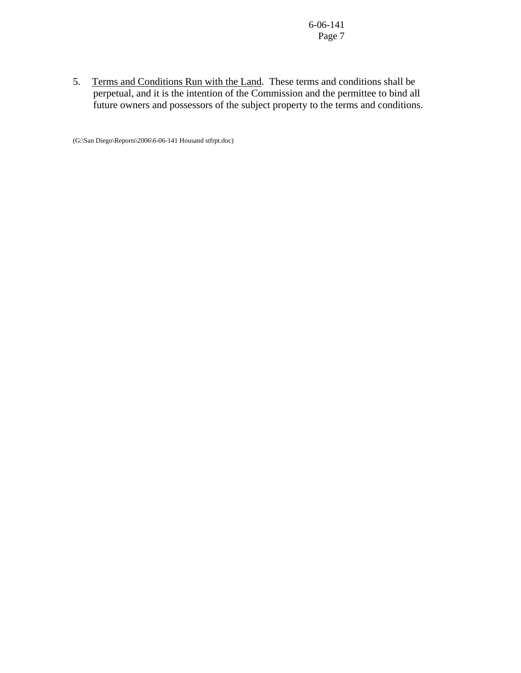5. Terms and Conditions Run with the Land. These terms and conditions shall be perpetual, and it is the intention of the Commission and the permittee to bind all future owners and possessors of the subject property to the terms and conditions.

(G:\San Diego\Reports\2006\6-06-141 Housand stfrpt.doc)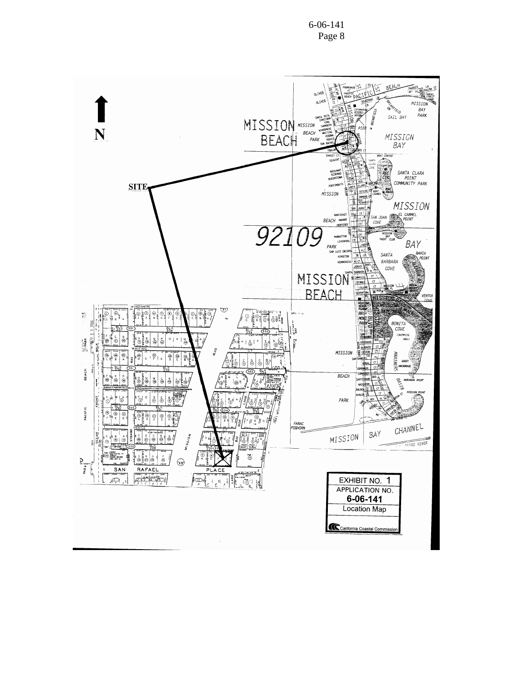